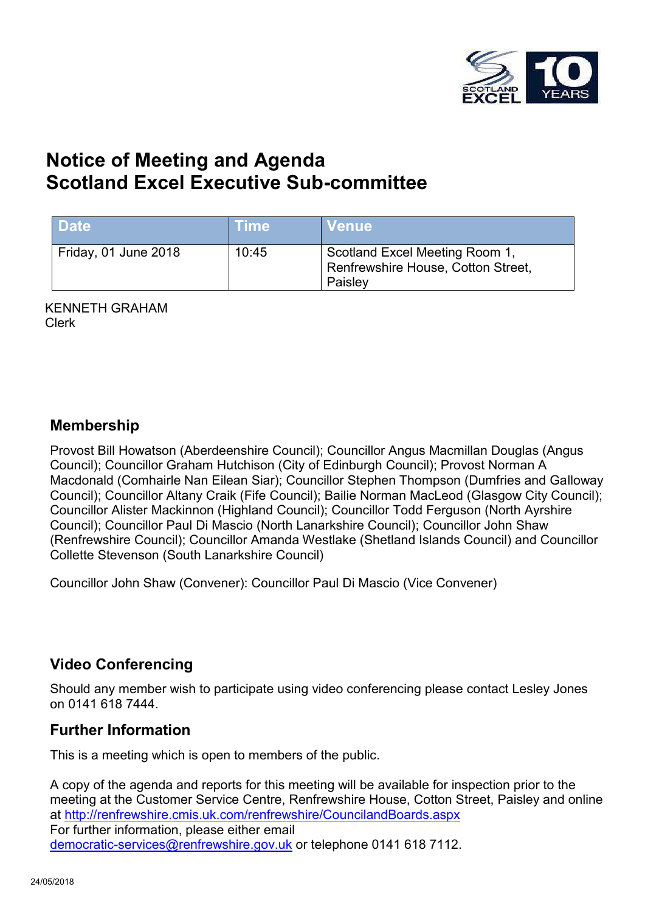

# **Notice of Meeting and Agenda Scotland Excel Executive Sub-committee**

| <b>Date</b>          | <b>Time</b> | <b>Venue</b>                                                                    |
|----------------------|-------------|---------------------------------------------------------------------------------|
| Friday, 01 June 2018 | 10:45       | Scotland Excel Meeting Room 1,<br>Renfrewshire House, Cotton Street,<br>Paisley |

KENNETH GRAHAM Clerk

#### **Membership**

Provost Bill Howatson (Aberdeenshire Council); Councillor Angus Macmillan Douglas (Angus Council); Councillor Graham Hutchison (City of Edinburgh Council); Provost Norman A Macdonald (Comhairle Nan Eilean Siar); Councillor Stephen Thompson (Dumfries and Galloway Council); Councillor Altany Craik (Fife Council); Bailie Norman MacLeod (Glasgow City Council); Councillor Alister Mackinnon (Highland Council); Councillor Todd Ferguson (North Ayrshire Council); Councillor Paul Di Mascio (North Lanarkshire Council); Councillor John Shaw (Renfrewshire Council); Councillor Amanda Westlake (Shetland Islands Council) and Councillor Collette Stevenson (South Lanarkshire Council)

Councillor John Shaw (Convener): Councillor Paul Di Mascio (Vice Convener)

## **Video Conferencing**

Should any member wish to participate using video conferencing please contact Lesley Jones on 0141 618 7444.

## **Further Information**

This is a meeting which is open to members of the public.

A copy of the agenda and reports for this meeting will be available for inspection prior to the meeting at the Customer Service Centre, Renfrewshire House, Cotton Street, Paisley and online at <http://renfrewshire.cmis.uk.com/renfrewshire/CouncilandBoards.aspx> For further information, please either email [democratic-services@renfrewshire.gov.uk](mailto:democratic-services@renfrewshire.gov.uk) or telephone 0141 618 7112.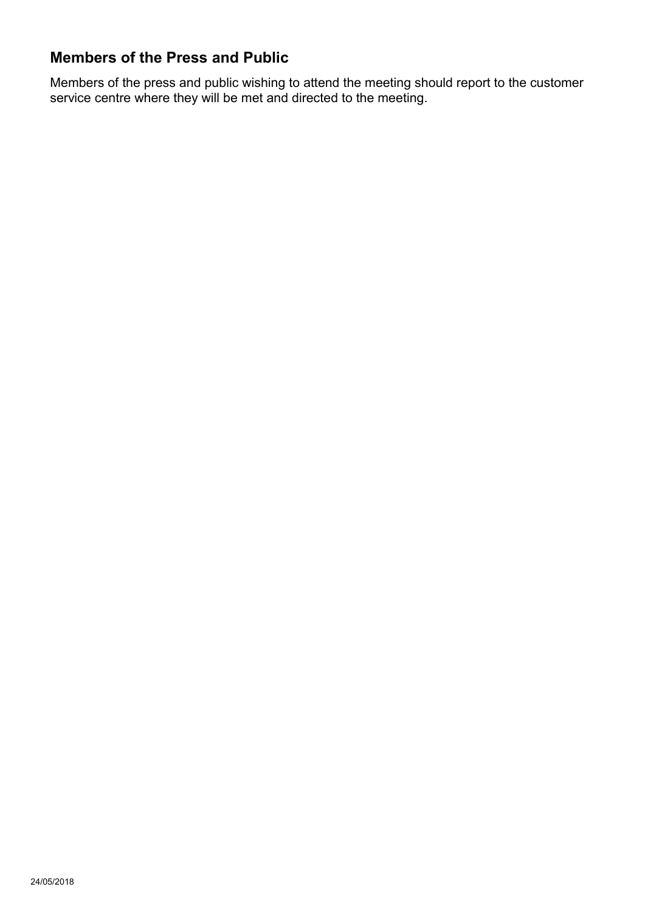# **Members of the Press and Public**

Members of the press and public wishing to attend the meeting should report to the customer service centre where they will be met and directed to the meeting.